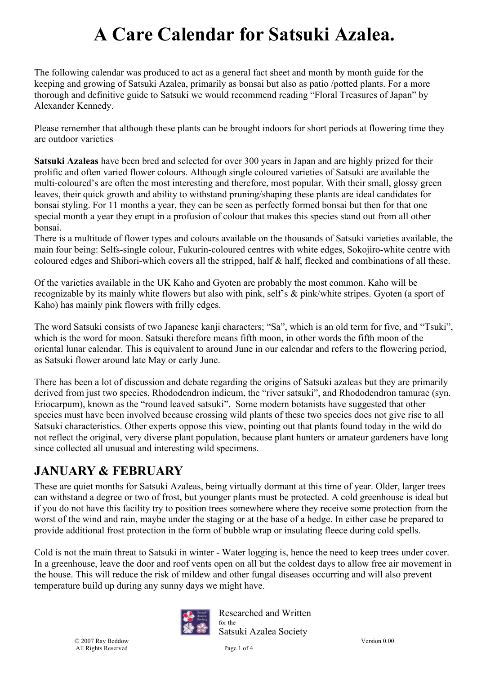The following calendar was produced to act as a general fact sheet and month by month guide for the keeping and growing of Satsuki Azalea, primarily as bonsai but also as patio /potted plants. For a more thorough and definitive guide to Satsuki we would recommend reading "Floral Treasures of Japan" by Alexander Kennedy.

Please remember that although these plants can be brought indoors for short periods at flowering time they are outdoor varieties

**Satsuki Azaleas** have been bred and selected for over 300 years in Japan and are highly prized for their prolific and often varied flower colours. Although single coloured varieties of Satsuki are available the multi-coloured's are often the most interesting and therefore, most popular. With their small, glossy green leaves, their quick growth and ability to withstand pruning/shaping these plants are ideal candidates for bonsai styling. For 11 months a year, they can be seen as perfectly formed bonsai but then for that one special month a year they erupt in a profusion of colour that makes this species stand out from all other bonsai.

There is a multitude of flower types and colours available on the thousands of Satsuki varieties available, the main four being: Selfs-single colour, Fukurin-coloured centres with white edges, Sokojiro-white centre with coloured edges and Shibori-which covers all the stripped, half & half, flecked and combinations of all these.

Of the varieties available in the UK Kaho and Gyoten are probably the most common. Kaho will be recognizable by its mainly white flowers but also with pink, self's & pink/white stripes. Gyoten (a sport of Kaho) has mainly pink flowers with frilly edges.

The word Satsuki consists of two Japanese kanji characters; "Sa", which is an old term for five, and "Tsuki", which is the word for moon. Satsuki therefore means fifth moon, in other words the fifth moon of the oriental lunar calendar. This is equivalent to around June in our calendar and refers to the flowering period, as Satsuki flower around late May or early June.

There has been a lot of discussion and debate regarding the origins of Satsuki azaleas but they are primarily derived from just two species, Rhododendron indicum, the "river satsuki", and Rhododendron tamurae (syn. Eriocarpum), known as the "round leaved satsuki". Some modern botanists have suggested that other species must have been involved because crossing wild plants of these two species does not give rise to all Satsuki characteristics. Other experts oppose this view, pointing out that plants found today in the wild do not reflect the original, very diverse plant population, because plant hunters or amateur gardeners have long since collected all unusual and interesting wild specimens.

### **JANUARY & FEBRUARY**

These are quiet months for Satsuki Azaleas, being virtually dormant at this time of year. Older, larger trees can withstand a degree or two of frost, but younger plants must be protected. A cold greenhouse is ideal but if you do not have this facility try to position trees somewhere where they receive some protection from the worst of the wind and rain, maybe under the staging or at the base of a hedge. In either case be prepared to provide additional frost protection in the form of bubble wrap or insulating fleece during cold spells.

Cold is not the main threat to Satsuki in winter - Water logging is, hence the need to keep trees under cover. In a greenhouse, leave the door and roof vents open on all but the coldest days to allow free air movement in the house. This will reduce the risk of mildew and other fungal diseases occurring and will also prevent temperature build up during any sunny days we might have.



Researched and Written for the Satsuki Azalea Society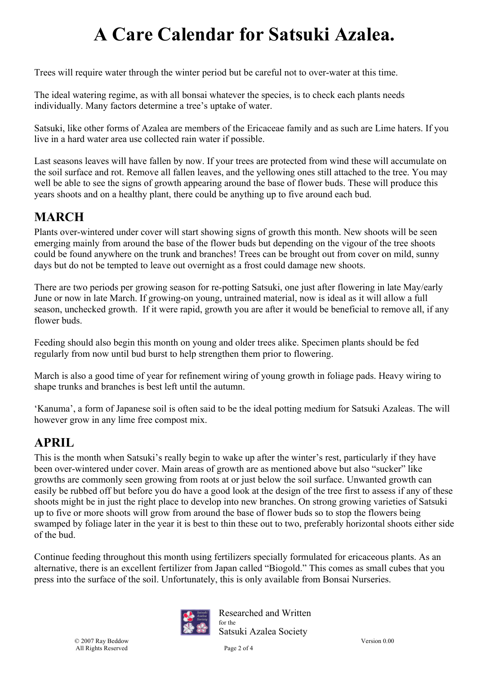Trees will require water through the winter period but be careful not to over-water at this time.

The ideal watering regime, as with all bonsai whatever the species, is to check each plants needs individually. Many factors determine a tree's uptake of water.

Satsuki, like other forms of Azalea are members of the Ericaceae family and as such are Lime haters. If you live in a hard water area use collected rain water if possible.

Last seasons leaves will have fallen by now. If your trees are protected from wind these will accumulate on the soil surface and rot. Remove all fallen leaves, and the yellowing ones still attached to the tree. You may well be able to see the signs of growth appearing around the base of flower buds. These will produce this years shoots and on a healthy plant, there could be anything up to five around each bud.

### **MARCH**

Plants over-wintered under cover will start showing signs of growth this month. New shoots will be seen emerging mainly from around the base of the flower buds but depending on the vigour of the tree shoots could be found anywhere on the trunk and branches! Trees can be brought out from cover on mild, sunny days but do not be tempted to leave out overnight as a frost could damage new shoots.

There are two periods per growing season for re-potting Satsuki, one just after flowering in late May/early June or now in late March. If growing-on young, untrained material, now is ideal as it will allow a full season, unchecked growth. If it were rapid, growth you are after it would be beneficial to remove all, if any flower buds.

Feeding should also begin this month on young and older trees alike. Specimen plants should be fed regularly from now until bud burst to help strengthen them prior to flowering.

March is also a good time of year for refinement wiring of young growth in foliage pads. Heavy wiring to shape trunks and branches is best left until the autumn.

'Kanuma', a form of Japanese soil is often said to be the ideal potting medium for Satsuki Azaleas. The will however grow in any lime free compost mix.

#### **APRIL**

This is the month when Satsuki's really begin to wake up after the winter's rest, particularly if they have been over-wintered under cover. Main areas of growth are as mentioned above but also "sucker" like growths are commonly seen growing from roots at or just below the soil surface. Unwanted growth can easily be rubbed off but before you do have a good look at the design of the tree first to assess if any of these shoots might be in just the right place to develop into new branches. On strong growing varieties of Satsuki up to five or more shoots will grow from around the base of flower buds so to stop the flowers being swamped by foliage later in the year it is best to thin these out to two, preferably horizontal shoots either side of the bud.

Continue feeding throughout this month using fertilizers specially formulated for ericaceous plants. As an alternative, there is an excellent fertilizer from Japan called "Biogold." This comes as small cubes that you press into the surface of the soil. Unfortunately, this is only available from Bonsai Nurseries.



Researched and Written for the Satsuki Azalea Society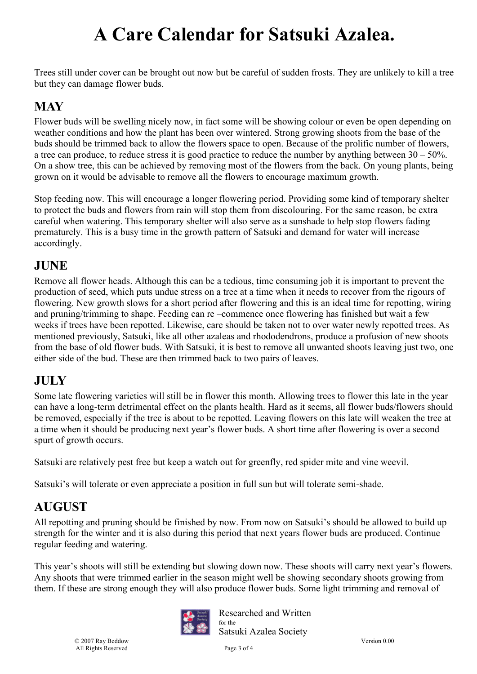Trees still under cover can be brought out now but be careful of sudden frosts. They are unlikely to kill a tree but they can damage flower buds.

### **MAY**

Flower buds will be swelling nicely now, in fact some will be showing colour or even be open depending on weather conditions and how the plant has been over wintered. Strong growing shoots from the base of the buds should be trimmed back to allow the flowers space to open. Because of the prolific number of flowers, a tree can produce, to reduce stress it is good practice to reduce the number by anything between  $30 - 50\%$ . On a show tree, this can be achieved by removing most of the flowers from the back. On young plants, being grown on it would be advisable to remove all the flowers to encourage maximum growth.

Stop feeding now. This will encourage a longer flowering period. Providing some kind of temporary shelter to protect the buds and flowers from rain will stop them from discolouring. For the same reason, be extra careful when watering. This temporary shelter will also serve as a sunshade to help stop flowers fading prematurely. This is a busy time in the growth pattern of Satsuki and demand for water will increase accordingly.

### **JUNE**

Remove all flower heads. Although this can be a tedious, time consuming job it is important to prevent the production of seed, which puts undue stress on a tree at a time when it needs to recover from the rigours of flowering. New growth slows for a short period after flowering and this is an ideal time for repotting, wiring and pruning/trimming to shape. Feeding can re –commence once flowering has finished but wait a few weeks if trees have been repotted. Likewise, care should be taken not to over water newly repotted trees. As mentioned previously, Satsuki, like all other azaleas and rhododendrons, produce a profusion of new shoots from the base of old flower buds. With Satsuki, it is best to remove all unwanted shoots leaving just two, one either side of the bud. These are then trimmed back to two pairs of leaves.

#### **JULY**

Some late flowering varieties will still be in flower this month. Allowing trees to flower this late in the year can have a long-term detrimental effect on the plants health. Hard as it seems, all flower buds/flowers should be removed, especially if the tree is about to be repotted. Leaving flowers on this late will weaken the tree at a time when it should be producing next year's flower buds. A short time after flowering is over a second spurt of growth occurs.

Satsuki are relatively pest free but keep a watch out for greenfly, red spider mite and vine weevil.

Satsuki's will tolerate or even appreciate a position in full sun but will tolerate semi-shade.

### **AUGUST**

All repotting and pruning should be finished by now. From now on Satsuki's should be allowed to build up strength for the winter and it is also during this period that next years flower buds are produced. Continue regular feeding and watering.

This year's shoots will still be extending but slowing down now. These shoots will carry next year's flowers. Any shoots that were trimmed earlier in the season might well be showing secondary shoots growing from them. If these are strong enough they will also produce flower buds. Some light trimming and removal of



Researched and Written for the

Satsuki Azalea Society